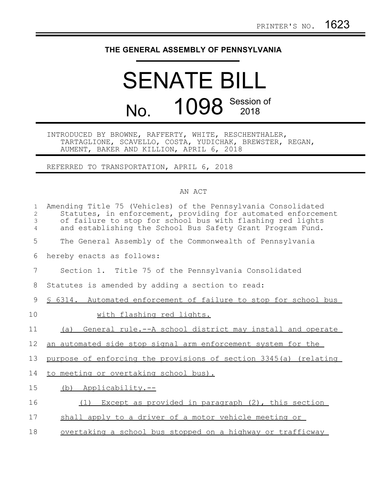## **THE GENERAL ASSEMBLY OF PENNSYLVANIA**

## SENATE BILL No. 1098 Session of

## INTRODUCED BY BROWNE, RAFFERTY, WHITE, RESCHENTHALER, TARTAGLIONE, SCAVELLO, COSTA, YUDICHAK, BREWSTER, REGAN, AUMENT, BAKER AND KILLION, APRIL 6, 2018

REFERRED TO TRANSPORTATION, APRIL 6, 2018

## AN ACT

| $\mathbf{1}$<br>$\overline{c}$<br>3<br>4 | Amending Title 75 (Vehicles) of the Pennsylvania Consolidated<br>Statutes, in enforcement, providing for automated enforcement<br>of failure to stop for school bus with flashing red lights<br>and establishing the School Bus Safety Grant Program Fund. |
|------------------------------------------|------------------------------------------------------------------------------------------------------------------------------------------------------------------------------------------------------------------------------------------------------------|
| 5                                        | The General Assembly of the Commonwealth of Pennsylvania                                                                                                                                                                                                   |
| 6                                        | hereby enacts as follows:                                                                                                                                                                                                                                  |
| 7                                        | Section 1. Title 75 of the Pennsylvania Consolidated                                                                                                                                                                                                       |
| 8                                        | Statutes is amended by adding a section to read:                                                                                                                                                                                                           |
| 9                                        | \$ 6314. Automated enforcement of failure to stop for school bus                                                                                                                                                                                           |
| 10                                       | with flashing red lights.                                                                                                                                                                                                                                  |
| 11                                       | General rule.--A school district may install and operate<br>(a)                                                                                                                                                                                            |
| 12                                       | an automated side stop signal arm enforcement system for the                                                                                                                                                                                               |
| 13                                       | purpose of enforcing the provisions of section 3345(a) (relating                                                                                                                                                                                           |
| 14                                       | to meeting or overtaking school bus).                                                                                                                                                                                                                      |
| 15                                       | $(b)$ Applicability.--                                                                                                                                                                                                                                     |
| 16                                       | (1) Except as provided in paragraph (2), this section                                                                                                                                                                                                      |
| 17                                       | shall apply to a driver of a motor vehicle meeting or                                                                                                                                                                                                      |
| 18                                       | overtaking a school bus stopped on a highway or trafficway                                                                                                                                                                                                 |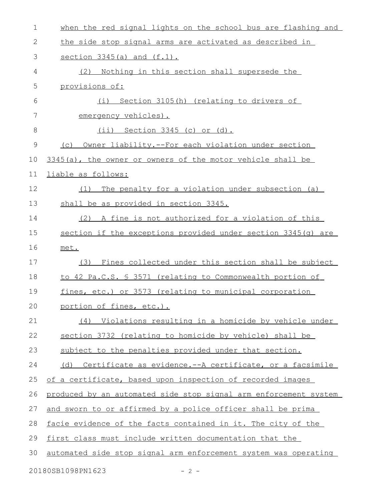| $\mathbf 1$  | when the red signal lights on the school bus are flashing and    |
|--------------|------------------------------------------------------------------|
| $\mathbf{2}$ | the side stop signal arms are activated as described in          |
| 3            | section $3345(a)$ and $(f.1)$ .                                  |
| 4            | Nothing in this section shall supersede the<br>(2)               |
| 5            | provisions of:                                                   |
| 6            | (i) Section 3105(h) (relating to drivers of                      |
| 7            | emergency vehicles).                                             |
| 8            | (ii) Section 3345 (c) or (d).                                    |
| 9            | (c) Owner liability.--For each violation under section           |
| 10           | 3345(a), the owner or owners of the motor vehicle shall be       |
| 11           | liable as follows:                                               |
| 12           | The penalty for a violation under subsection (a)<br>(1)          |
| 13           | shall be as provided in section 3345.                            |
| 14           | (2) A fine is not authorized for a violation of this             |
| 15           | section if the exceptions provided under section 3345(q) are     |
| 16           | met.                                                             |
| 17           | (3) Fines collected under this section shall be subject          |
| 18           | to 42 Pa.C.S. § 3571 (relating to Commonwealth portion of        |
| 19           | fines, etc.) or 3573 (relating to municipal corporation          |
| 20           | portion of fines, etc.).                                         |
| 21           | (4) Violations resulting in a homicide by vehicle under          |
| 22           | section 3732 (relating to homicide by vehicle) shall be          |
| 23           | subject to the penalties provided under that section.            |
| 24           | (d) Certificate as evidence.--A certificate, or a facsimile      |
| 25           | of a certificate, based upon inspection of recorded images       |
| 26           | produced by an automated side stop signal arm enforcement system |
| 27           | and sworn to or affirmed by a police officer shall be prima      |
| 28           | facie evidence of the facts contained in it. The city of the     |
| 29           | first class must include written documentation that the          |
| 30           | automated side stop signal arm enforcement system was operating  |
|              | 20180SB1098PN1623<br>$-2-$                                       |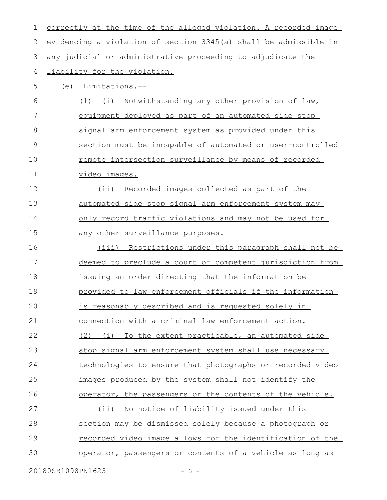| 1           | correctly at the time of the alleged violation. A recorded image |
|-------------|------------------------------------------------------------------|
| 2           | evidencing a violation of section 3345(a) shall be admissible in |
| 3           | any judicial or administrative proceeding to adjudicate the      |
| 4           | liability for the violation.                                     |
| 5           | (e) Limitations.--                                               |
| 6           | (1) (i) Notwithstanding any other provision of law,              |
| 7           | equipment deployed as part of an automated side stop             |
| 8           | signal arm enforcement system as provided under this             |
| $\mathsf 9$ | section must be incapable of automated or user-controlled        |
| 10          | remote intersection surveillance by means of recorded            |
| 11          | video images.                                                    |
| 12          | (ii) Recorded images collected as part of the                    |
| 13          | automated side stop signal arm enforcement system may            |
| 14          | only record traffic violations and may not be used for           |
| 15          | any other surveillance purposes.                                 |
| 16          | (iii) Restrictions under this paragraph shall not be             |
| 17          | deemed to preclude a court of competent jurisdiction from        |
| 18          | issuing an order directing that the information be               |
| 19          | provided to law enforcement officials if the information         |
| 20          | is reasonably described and is requested solely in               |
| 21          | connection with a criminal law enforcement action.               |
| 22          | To the extent practicable, an automated side<br>(2)<br>(i)       |
| 23          | stop signal arm enforcement system shall use necessary           |
| 24          | technologies to ensure that photographs or recorded video        |
| 25          | images produced by the system shall not identify the             |
| 26          | operator, the passengers or the contents of the vehicle.         |
| 27          | No notice of liability issued under this<br>(i)                  |
| 28          | section may be dismissed solely because a photograph or          |
| 29          | recorded video image allows for the identification of the        |
| 30          | operator, passengers or contents of a vehicle as long as         |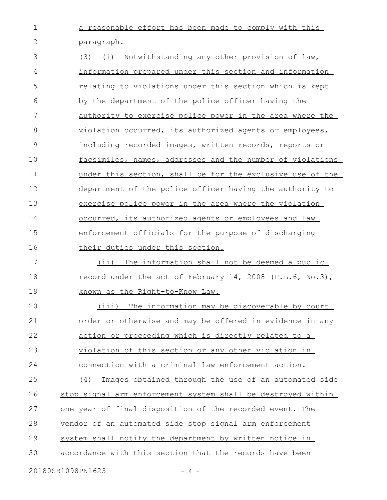a reasonable effort has been made to comply with this paragraph. 1 2

(3) (i) Notwithstanding any other provision of law, information prepared under this section and information relating to violations under this section which is kept by the department of the police officer having the authority to exercise police power in the area where the violation occurred, its authorized agents or employees, including recorded images, written records, reports or facsimiles, names, addresses and the number of violations under this section, shall be for the exclusive use of the department of the police officer having the authority to exercise police power in the area where the violation occurred, its authorized agents or employees and law enforcement officials for the purpose of discharging their duties under this section. (ii) The information shall not be deemed a public 3 4 5 6 7 8 9 10 11 12 13 14 15 16 17

record under the act of February 14, 2008 (P.L.6, No.3), known as the Right-to-Know Law. 18 19

(iii) The information may be discoverable by court order or otherwise and may be offered in evidence in any action or proceeding which is directly related to a violation of this section or any other violation in connection with a criminal law enforcement action. (4) Images obtained through the use of an automated side stop signal arm enforcement system shall be destroyed within one year of final disposition of the recorded event. The vendor of an automated side stop signal arm enforcement system shall notify the department by written notice in accordance with this section that the records have been 20 21 22 23 24 25 26 27 28 29 30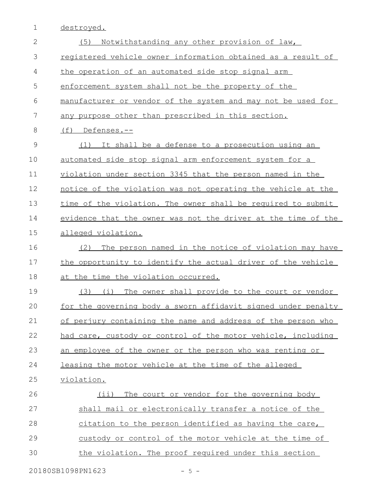1 destroyed.

| $\overline{2}$  | Notwithstanding any other provision of law,<br>(5)            |
|-----------------|---------------------------------------------------------------|
| 3               | registered vehicle owner information obtained as a result of  |
| 4               | the operation of an automated side stop signal arm            |
| 5               | enforcement system shall not be the property of the           |
| 6               | manufacturer or vendor of the system and may not be used for  |
| $7\phantom{.0}$ | any purpose other than prescribed in this section.            |
| 8               | (f) Defenses.--                                               |
| $\mathcal{G}$   | It shall be a defense to a prosecution using an<br>(1)        |
| 10              | automated side stop signal arm enforcement system for a       |
| 11              | violation under section 3345 that the person named in the     |
| 12              | notice of the violation was not operating the vehicle at the  |
| 13              | time of the violation. The owner shall be required to submit  |
| 14              | evidence that the owner was not the driver at the time of the |
| 15              | alleged violation.                                            |
| 16              | The person named in the notice of violation may have<br>(2)   |
| 17              | the opportunity to identify the actual driver of the vehicle  |
| 18              | at the time the violation occurred.                           |
| 19              | (3) (i) The owner shall provide to the court or vendor        |
| 20              | for the governing body a sworn affidavit signed under penalty |
| 21              | of perjury containing the name and address of the person who  |
| 22              | had care, custody or control of the motor vehicle, including  |
| 23              | an employee of the owner or the person who was renting or     |
| 24              | leasing the motor vehicle at the time of the alleged          |
| 25              | violation.                                                    |
| 26              | The court or vendor for the governing body<br>$(i$ i)         |
| 27              | shall mail or electronically transfer a notice of the         |
| 28              | citation to the person identified as having the care,         |
| 29              | custody or control of the motor vehicle at the time of        |
| 30              | the violation. The proof required under this section          |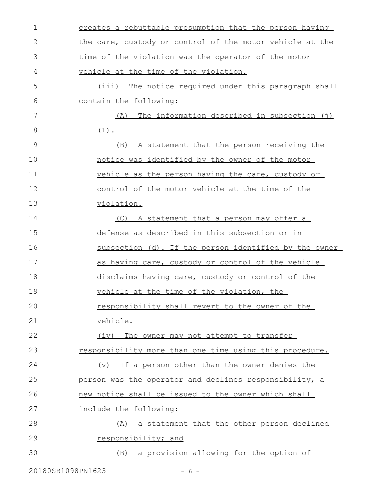| $\mathbf 1$ | creates a rebuttable presumption that the person having  |
|-------------|----------------------------------------------------------|
| 2           | the care, custody or control of the motor vehicle at the |
| 3           | time of the violation was the operator of the motor      |
| 4           | vehicle at the time of the violation.                    |
| 5           | (iii) The notice required under this paragraph shall     |
| 6           | contain the following:                                   |
| 7           | (A) The information described in subsection (j)          |
| 8           | $(1)$ .                                                  |
| 9           | A statement that the person receiving the<br>(B)         |
| 10          | notice was identified by the owner of the motor          |
| 11          | vehicle as the person having the care, custody or        |
| 12          | control of the motor vehicle at the time of the          |
| 13          | violation.                                               |
| 14          | (C) A statement that a person may offer a                |
| 15          | defense as described in this subsection or in            |
| 16          | subsection (d). If the person identified by the owner    |
| 17          | as having care, custody or control of the vehicle        |
| 18          | disclaims having care, custody or control of the         |
| 19          | vehicle at the time of the violation, the                |
| 20          | responsibility shall revert to the owner of the          |
| 21          | vehicle.                                                 |
| 22          | (iv) The owner may not attempt to transfer               |
| 23          | responsibility more than one time using this procedure.  |
| 24          | (v) If a person other than the owner denies the          |
| 25          | person was the operator and declines responsibility, a   |
| 26          | new notice shall be issued to the owner which shall      |
| 27          | include the following:                                   |
| 28          | (A) a statement that the other person declined           |
| 29          | responsibility; and                                      |
| 30          | (B) a provision allowing for the option of               |
|             |                                                          |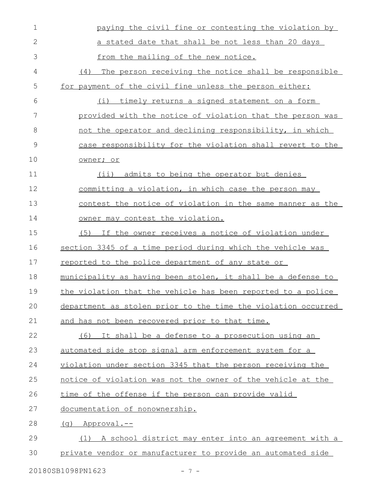| $\mathbf 1$  | paying the civil fine or contesting the violation by          |
|--------------|---------------------------------------------------------------|
| $\mathbf{2}$ | a stated date that shall be not less than 20 days             |
| 3            | from the mailing of the new notice.                           |
| 4            | (4)<br>The person receiving the notice shall be responsible   |
| 5            | for payment of the civil fine unless the person either:       |
| 6            | (i) timely returns a signed statement on a form               |
| 7            | provided with the notice of violation that the person was     |
| 8            | not the operator and declining responsibility, in which       |
| 9            | case responsibility for the violation shall revert to the     |
| 10           | owner; or                                                     |
| 11           | admits to being the operator but denies<br>$(i$ ii)           |
| 12           | committing a violation, in which case the person may          |
| 13           | contest the notice of violation in the same manner as the     |
| 14           | owner may contest the violation.                              |
| 15           | (5) If the owner receives a notice of violation under         |
| 16           | section 3345 of a time period during which the vehicle was    |
| 17           | reported to the police department of any state or             |
| 18           | municipality as having been stolen, it shall be a defense to  |
| 19           | the violation that the vehicle has been reported to a police  |
| 20           | department as stolen prior to the time the violation occurred |
| 21           | and has not been recovered prior to that time.                |
| 22           | (6) It shall be a defense to a prosecution using an           |
| 23           | automated side stop signal arm enforcement system for a       |
| 24           | violation under section 3345 that the person receiving the    |
| 25           | notice of violation was not the owner of the vehicle at the   |
| 26           | time of the offense if the person can provide valid           |
| 27           | documentation of nonownership.                                |
| 28           | (g) Approval.--                                               |
| 29           | (1) A school district may enter into an agreement with a      |
| 30           | private vendor or manufacturer to provide an automated side   |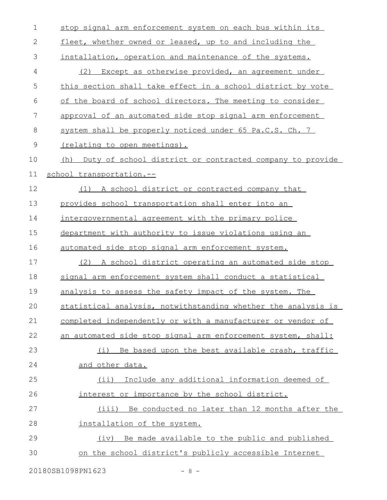| $\mathbf 1$ | stop signal arm enforcement system on each bus within its     |
|-------------|---------------------------------------------------------------|
| $\mathbf 2$ | fleet, whether owned or leased, up to and including the       |
| 3           | installation, operation and maintenance of the systems.       |
| 4           | Except as otherwise provided, an agreement under<br>(2)       |
| 5           | this section shall take effect in a school district by vote   |
| 6           | of the board of school directors. The meeting to consider     |
| 7           | approval of an automated side stop signal arm enforcement     |
| $\,8\,$     | system shall be properly noticed under 65 Pa.C.S. Ch. 7       |
| $\mathsf 9$ | (relating to open meetings).                                  |
| 10          | (h) Duty of school district or contracted company to provide  |
| 11          | school_transportation.--                                      |
| 12          | A school district or contracted company that<br>(1)           |
| 13          | provides school transportation shall enter into an            |
| 14          | intergovernmental agreement with the primary police           |
| 15          | department with authority to issue violations using an        |
| 16          | automated side stop signal arm enforcement system.            |
| 17          | (2) A school district operating an automated side stop        |
| 18          | signal arm enforcement system shall conduct a statistical     |
| 19          | analysis to assess the safety impact of the system. The       |
| 20          | statistical analysis, notwithstanding whether the analysis is |
| 21          | completed independently or with a manufacturer or vendor of   |
| 22          | an automated side stop signal arm enforcement system, shall:  |
| 23          | Be based upon the best available crash, traffic<br>(i)        |
| 24          | and other data.                                               |
| 25          | Include any additional information deemed of<br>(i)           |
| 26          | interest or importance by the school district.                |
| 27          | (iii) Be conducted no later than 12 months after the          |
| 28          | installation of the system.                                   |
| 29          | (iv) Be made available to the public and published            |
| 30          | on the school district's publicly accessible Internet         |

20180SB1098PN1623 - 8 -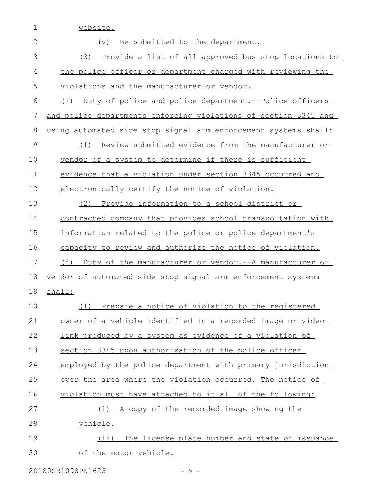| 1            | website.                                                                |
|--------------|-------------------------------------------------------------------------|
| $\mathbf{2}$ | Be submitted to the department.<br>(v)                                  |
| 3            | Provide a list of all approved bus stop locations to<br>(3)             |
| 4            | the police officer or department charged with reviewing the             |
| 5            | violations and the manufacturer or vendor.                              |
| 6            | Duty of police and police department.--Police officers<br>(i)           |
| 7            | and police departments enforcing violations of section 3345 and         |
| $8\,$        | using automated side stop signal arm enforcement systems shall:         |
| 9            | Review submitted evidence from the manufacturer or<br>(1)               |
| 10           | vendor of a system to determine if there is sufficient                  |
| 11           | evidence that a violation under section 3345 occurred and               |
| 12           | electronically certify the notice of violation.                         |
| 13           | (2) Provide information to a school district or                         |
| 14           | contracted company that provides school transportation with             |
| 15           | information related to the police or police department's                |
| 16           | capacity to review and authorize the notice of violation.               |
| 17           | $(\dagger)$<br>Duty of the manufacturer or vendor. -- A manufacturer or |
| 18           | vendor of automated side stop signal arm enforcement systems            |
| 19           | shall:                                                                  |
| 20           | (1) Prepare a notice of violation to the registered                     |
| 21           | owner of a vehicle identified in a recorded image or video              |
| 22           | link produced by a system as evidence of a violation of                 |
| 23           | section 3345 upon authorization of the police officer                   |
| 24           | employed by the police department with primary jurisdiction             |
| 25           | over the area where the violation occurred. The notice of               |
| 26           | violation must have attached to it all of the following:                |
| 27           | (i) A copy of the recorded image showing the                            |
| 28           | vehicle.                                                                |
| 29           | (ii) The license plate number and state of issuance                     |
| 30           | of the motor vehicle.                                                   |

20180SB1098PN1623 - 9 -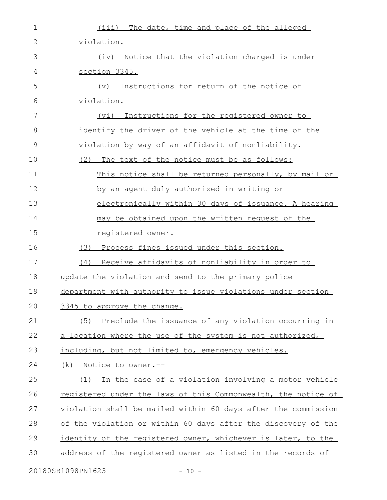| 1             | (iii) The date, time and place of the alleged                 |
|---------------|---------------------------------------------------------------|
| $\mathbf{2}$  | violation.                                                    |
| 3             | (iv) Notice that the violation charged is under               |
| 4             | section 3345.                                                 |
| 5             | Instructions for return of the notice of<br>$(\triangledown)$ |
| 6             | violation.                                                    |
| 7             | Instructions for the registered owner to<br>(vi)              |
| 8             | identify the driver of the vehicle at the time of the         |
| $\mathcal{G}$ | violation by way of an affidavit of nonliability.             |
| 10            | (2)<br>The text of the notice must be as follows:             |
| 11            | This notice shall be returned personally, by mail or          |
| 12            | by an agent duly authorized in writing or                     |
| 13            | electronically within 30 days of issuance. A hearing          |
| 14            | may be obtained upon the written request of the               |
| 15            | registered owner.                                             |
| 16            | Process fines issued under this section.<br>(3)               |
| 17            | Receive affidavits of nonliability in order to<br>(4)         |
| 18            | update the violation and send to the primary police           |
| 19            | department with authority to issue violations under section   |
| 20            | 3345 to approve the change.                                   |
| 21            | (5) Preclude the issuance of any violation occurring in       |
| 22            | a location where the use of the system is not authorized,     |
| 23            | including, but not limited to, emergency vehicles.            |
| 24            | <u>(k) Notice to owner.--</u>                                 |
| 25            | In the case of a violation involving a motor vehicle<br>(1)   |
| 26            | registered under the laws of this Commonwealth, the notice of |
| 27            | violation shall be mailed within 60 days after the commission |
| 28            | of the violation or within 60 days after the discovery of the |
| 29            | identity of the registered owner, whichever is later, to the  |
| 30            | address of the registered owner as listed in the records of   |
|               | 20180SB1098PN1623<br>$-10 -$                                  |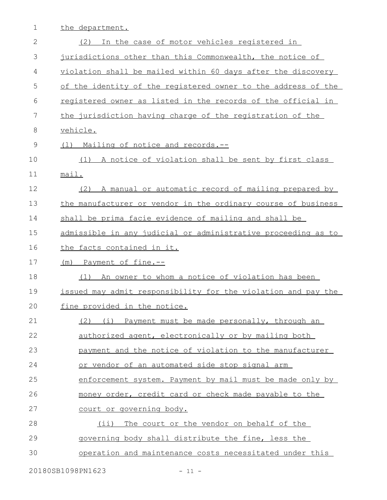1 the department.

| $\overline{2}$ | In the case of motor vehicles registered in<br>(2)            |
|----------------|---------------------------------------------------------------|
| 3              | jurisdictions other than this Commonwealth, the notice of     |
| 4              | violation shall be mailed within 60 days after the discovery  |
| 5              | of the identity of the registered owner to the address of the |
| 6              | registered owner as listed in the records of the official in  |
| 7              | the jurisdiction having charge of the registration of the     |
| 8              | vehicle.                                                      |
| $\mathsf 9$    | (1) Mailing of notice and records.--                          |
| 10             | (1) A notice of violation shall be sent by first class        |
| 11             | mail.                                                         |
| 12             | A manual or automatic record of mailing prepared by<br>(2)    |
| 13             | the manufacturer or vendor in the ordinary course of business |
| 14             | shall be prima facie evidence of mailing and shall be         |
| 15             | admissible in any judicial or administrative proceeding as to |
| 16             | the facts contained in it.                                    |
| 17             | Payment of fine.--<br>(m)                                     |
| 18             | An owner to whom a notice of violation has been<br>(1)        |
| 19             | issued may admit responsibility for the violation and pay the |
| 20             | fine provided in the notice.                                  |
| 21             | Payment must be made personally, through an<br>(i)<br>(2)     |
| 22             | authorized agent, electronically or by mailing both           |
| 23             | payment and the notice of violation to the manufacturer       |
| 24             | or vendor of an automated side stop signal arm                |
| 25             | enforcement system. Payment by mail must be made only by      |
| 26             | money order, credit card or check made payable to the         |
| 27             | court or governing body.                                      |
| 28             | The court or the vendor on behalf of the<br>$(i$ i)           |
| 29             | governing body shall distribute the fine, less the            |
| 30             | operation and maintenance costs necessitated under this       |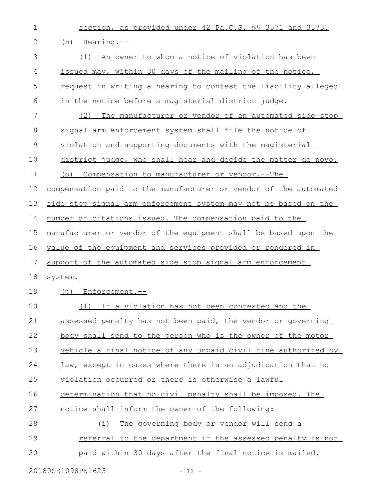| $\mathbf 1$   | section, as provided under 42 Pa.C.S. \$\$ 3571 and 3573.        |
|---------------|------------------------------------------------------------------|
| 2             | (n) Hearing.--                                                   |
| 3             | (1) An owner to whom a notice of violation has been              |
| 4             | issued may, within 30 days of the mailing of the notice,         |
| 5             | request in writing a hearing to contest the liability alleged    |
| 6             | in the notice before a magisterial district judge.               |
| 7             | (2)<br>The manufacturer or vendor of an automated side stop      |
| 8             | signal arm enforcement system shall file the notice of           |
| $\mathcal{G}$ | violation and supporting documents with the magisterial          |
| 10            | district judge, who shall hear and decide the matter de novo.    |
| 11            | $( \circ )$<br>Compensation to manufacturer or vendor.--The      |
| 12            | compensation paid to the manufacturer or vendor of the automated |
| 13            | side stop signal arm enforcement system may not be based on the  |
| 14            | number of citations issued. The compensation paid to the         |
| 15            | manufacturer or vendor of the equipment shall be based upon the  |
| 16            | value of the equipment and services provided or rendered in      |
| 17            | support of the automated side stop signal arm enforcement        |
| 18            | system.                                                          |
| 19            | (p) Enforcement.--                                               |
| 20            | (1) If a violation has not been contested and the                |
| 21            | assessed penalty has not been paid, the vendor or governing      |
| 22            | body shall send to the person who is the owner of the motor      |
| 23            | vehicle a final notice of any unpaid civil fine authorized by    |
| 24            | law, except in cases where there is an adjudication that no      |
| 25            | violation occurred or there is otherwise a lawful                |
| 26            | determination that no civil penalty shall be imposed. The        |
| 27            | notice shall inform the owner of the following:                  |
| 28            | The governing body or vendor will send a<br>(i)                  |
| 29            | <u>referral to the department if the assessed penalty is not</u> |
| 30            | paid within 30 days after the final notice is mailed.            |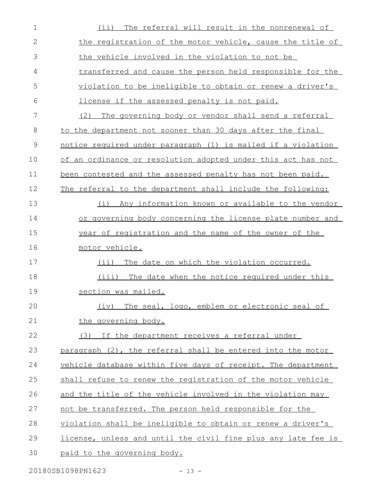| $\mathbf 1$   | The referral will result in the nonrenewal of<br>(ii)         |
|---------------|---------------------------------------------------------------|
| 2             | the registration of the motor vehicle, cause the title of     |
| 3             | the vehicle involved in the violation to not be               |
| 4             | transferred and cause the person held responsible for the     |
| 5             | violation to be ineligible to obtain or renew a driver's      |
| 6             | license if the assessed penalty is not paid.                  |
| 7             | (2)<br>The governing body or vendor shall send a referral     |
| 8             | to the department not sooner than 30 days after the final     |
| $\mathcal{G}$ | notice required under paragraph (1) is mailed if a violation  |
| 10            | of an ordinance or resolution adopted under this act has not  |
| 11            | been contested and the assessed penalty has not been paid.    |
| 12            | The referral to the department shall include the following:   |
| 13            | (i)<br>Any information known or available to the vendor       |
| 14            | or governing body concerning the license plate number and     |
| 15            | year of registration and the name of the owner of the         |
| 16            | motor vehicle.                                                |
| 17            | The date on which the violation occurred.<br>$(i$ i)          |
| 18            | The date when the notice required under this<br>(iii)         |
| 19            | section was mailed.                                           |
| 20            | (iv)<br>The seal, logo, emblem or electronic seal of          |
| 21            | the governing body.                                           |
| 22            | (3) If the department receives a referral under               |
| 23            | paragraph (2), the referral shall be entered into the motor   |
| 24            | vehicle database within five days of receipt. The department  |
| 25            | shall refuse to renew the registration of the motor vehicle   |
| 26            | and the title of the vehicle involved in the violation may    |
| 27            | not be transferred. The person held responsible for the       |
| 28            | violation shall be ineligible to obtain or renew a driver's   |
| 29            | license, unless and until the civil fine plus any late fee is |
| 30            | paid to the governing body.                                   |
|               |                                                               |

20180SB1098PN1623 - 13 -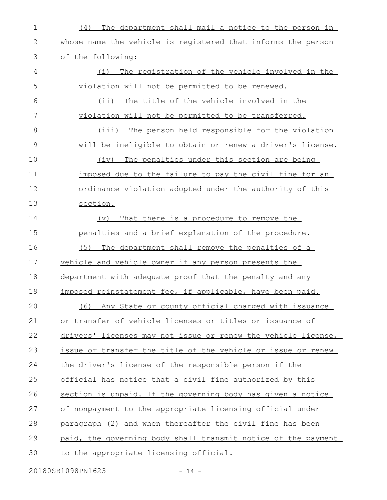| $\mathbf 1$   | The department shall mail a notice to the person in<br>(4)    |
|---------------|---------------------------------------------------------------|
| 2             | whose name the vehicle is registered that informs the person  |
| 3             | of the following:                                             |
| 4             | The registration of the vehicle involved in the<br>(i)        |
| 5             | violation will not be permitted to be renewed.                |
| 6             | (i)<br>The title of the vehicle involved in the               |
| 7             | violation will not be permitted to be transferred.            |
| 8             | (iii) The person held responsible for the violation           |
| $\mathcal{G}$ | will be ineligible to obtain or renew a driver's license.     |
| 10            | The penalties under this section are being<br>(iv)            |
| 11            | imposed due to the failure to pay the civil fine for an       |
| 12            | ordinance violation adopted under the authority of this       |
| 13            | section.                                                      |
| 14            | That there is a procedure to remove the<br>(v)                |
| 15            | penalties and a brief explanation of the procedure.           |
| 16            | (5)<br>The department shall remove the penalties of a         |
| 17            | vehicle and vehicle owner if any person presents the          |
| 18            | department with adequate proof that the penalty and any       |
| 19            | imposed reinstatement fee, if applicable, have been paid.     |
| 20            | Any State or county official charged with issuance<br>(6)     |
| 21            | or transfer of vehicle licenses or titles or issuance of      |
| 22            | drivers' licenses may not issue or renew the vehicle license, |
| 23            | issue or transfer the title of the vehicle or issue or renew  |
| 24            | the driver's license of the responsible person if the         |
| 25            | official has notice that a civil fine authorized by this      |
| 26            | section is unpaid. If the governing body has given a notice   |
| 27            | of nonpayment to the appropriate licensing official under     |
| 28            | paragraph (2) and when thereafter the civil fine has been     |
| 29            | paid, the governing body shall transmit notice of the payment |
| 30            | to the appropriate licensing official.                        |

20180SB1098PN1623 - 14 -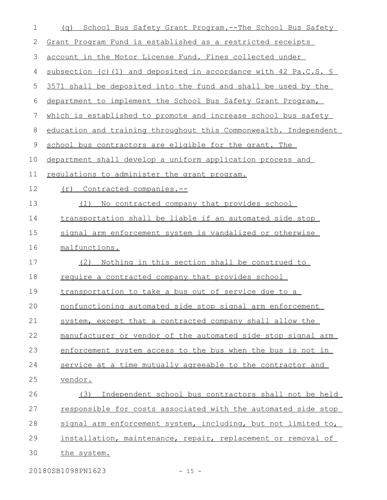| $\mathbf 1$   | School Bus Safety Grant Program.--The School Bus Safety<br>(q)   |
|---------------|------------------------------------------------------------------|
| $\mathbf{2}$  | Grant Program Fund is established as a restricted receipts       |
| $\mathcal{S}$ | account in the Motor License Fund. Fines collected under         |
| 4             | subsection (c) (1) and deposited in accordance with 42 Pa.C.S. § |
| 5             | 3571 shall be deposited into the fund and shall be used by the   |
| 6             | department to implement the School Bus Safety Grant Program,     |
| 7             | which is established to promote and increase school bus safety   |
| 8             | education and training throughout this Commonwealth. Independent |
| 9             | school bus contractors are eligible for the grant. The           |
| 10            | department shall develop a uniform application process and       |
| 11            | requlations to administer the grant program.                     |
| 12            | Contracted companies.--<br>(r)                                   |
| 13            | No contracted company that provides school<br>(1)                |
| 14            | transportation shall be liable if an automated side stop         |
| 15            | signal arm enforcement system is vandalized or otherwise         |
| 16            | malfunctions.                                                    |
| 17            | Nothing in this section shall be construed to<br>(2)             |
| 18            | require a contracted company that provides school                |
| 19            | transportation to take a bus out of service due to a             |
| 20            | nonfunctioning automated side stop signal arm enforcement        |
| 21            | system, except that a contracted company shall allow the         |
| 22            | manufacturer or vendor of the automated side stop signal arm     |
| 23            | enforcement system access to the bus when the bus is not in      |
| 24            | service at a time mutually agreeable to the contractor and       |
| 25            | vendor.                                                          |
| 26            | Independent school bus contractors shall not be held<br>(3)      |
| 27            | responsible for costs associated with the automated side stop    |
| 28            | signal arm enforcement system, including, but not limited to,    |
| 29            | installation, maintenance, repair, replacement or removal of     |
| 30            | the system.                                                      |
|               |                                                                  |

20180SB1098PN1623 - 15 -